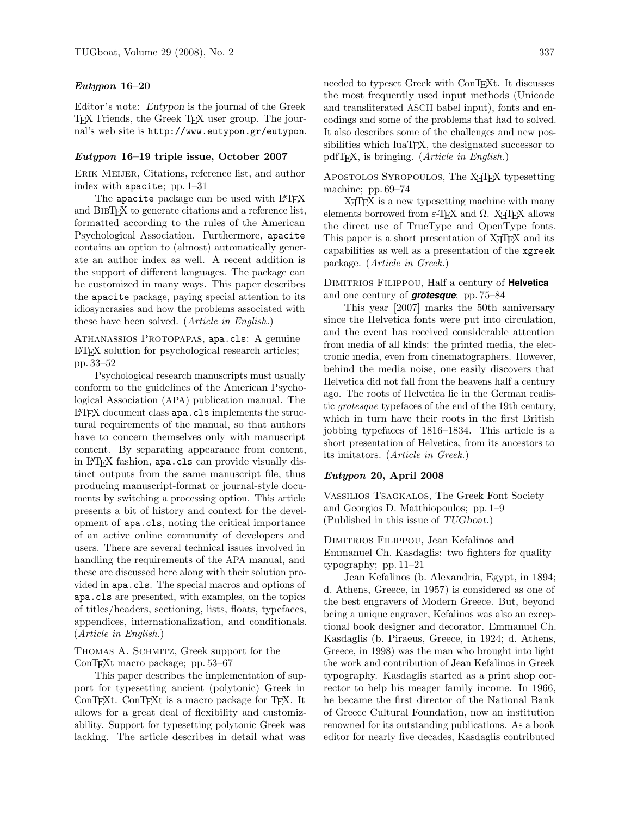### Eutypon 16–20

Editor's note: Eutypon is the journal of the Greek TEX Friends, the Greek TEX user group. The journal's web site is http://www.eutypon.gr/eutypon.

### Eutypon 16–19 triple issue, October 2007

ERIK MEIJER, Citations, reference list, and author index with apacite; pp. 1–31

The apacite package can be used with LATFX and BibTEX to generate citations and a reference list, formatted according to the rules of the American Psychological Association. Furthermore, apacite contains an option to (almost) automatically generate an author index as well. A recent addition is the support of different languages. The package can be customized in many ways. This paper describes the apacite package, paying special attention to its idiosyncrasies and how the problems associated with these have been solved. (Article in English.)

ATHANASSIOS PROTOPAPAS, apa.cls: A genuine LATEX solution for psychological research articles; pp. 33–52

Psychological research manuscripts must usually conform to the guidelines of the American Psychological Association (APA) publication manual. The LATEX document class apa.cls implements the structural requirements of the manual, so that authors have to concern themselves only with manuscript content. By separating appearance from content, in LATEX fashion, apa.cls can provide visually distinct outputs from the same manuscript file, thus producing manuscript-format or journal-style documents by switching a processing option. This article presents a bit of history and context for the development of apa.cls, noting the critical importance of an active online community of developers and users. There are several technical issues involved in handling the requirements of the APA manual, and these are discussed here along with their solution provided in apa.cls. The special macros and options of apa.cls are presented, with examples, on the topics of titles/headers, sectioning, lists, floats, typefaces, appendices, internationalization, and conditionals. (Article in English.)

Thomas A. Schmitz, Greek support for the ConTEXt macro package; pp. 53–67

This paper describes the implementation of support for typesetting ancient (polytonic) Greek in ConTEXt. ConTEXt is a macro package for TEX. It allows for a great deal of flexibility and customizability. Support for typesetting polytonic Greek was lacking. The article describes in detail what was

needed to typeset Greek with ConTEXt. It discusses the most frequently used input methods (Unicode and transliterated ASCII babel input), fonts and encodings and some of the problems that had to solved. It also describes some of the challenges and new possibilities which luaT<sub>E</sub>X, the designated successor to pdfT<sub>F</sub>X, is bringing. (*Article in English*.)

APOSTOLOS SYROPOULOS, The X<sub>T</sub>T<sub>F</sub>X typesetting machine; pp. 69–74

X<sub>T</sub>T<sub>F</sub>X is a new typesetting machine with many elements borrowed from  $\varepsilon$ -TEX and  $\Omega$ . X<sub>T</sub>TEX allows the direct use of TrueType and OpenType fonts. This paper is a short presentation of X<sub>T</sub>T<sub>E</sub>X and its capabilities as well as a presentation of the xgreek package. (Article in Greek.)

## Dimitrios Filippou, Half a century of **Helvetica** and one century of *grotesque*; pp. 75–84

This year [2007] marks the 50th anniversary since the Helvetica fonts were put into circulation, and the event has received considerable attention from media of all kinds: the printed media, the electronic media, even from cinematographers. However, behind the media noise, one easily discovers that Helvetica did not fall from the heavens half a century ago. The roots of Helvetica lie in the German realistic grotesque typefaces of the end of the 19th century, which in turn have their roots in the first British jobbing typefaces of 1816–1834. This article is a short presentation of Helvetica, from its ancestors to its imitators. (Article in Greek.)

### Eutypon 20, April 2008

Vassilios Tsagkalos, The Greek Font Society and Georgios D. Matthiopoulos; pp. 1–9 (Published in this issue of TUGboat.)

# Dimitrios Filippou, Jean Kefalinos and Emmanuel Ch. Kasdaglis: two fighters for quality typography; pp. 11–21

Jean Kefalinos (b. Alexandria, Egypt, in 1894; d. Athens, Greece, in 1957) is considered as one of the best engravers of Modern Greece. But, beyond being a unique engraver, Kefalinos was also an exceptional book designer and decorator. Emmanuel Ch. Kasdaglis (b. Piraeus, Greece, in 1924; d. Athens, Greece, in 1998) was the man who brought into light the work and contribution of Jean Kefalinos in Greek typography. Kasdaglis started as a print shop corrector to help his meager family income. In 1966, he became the first director of the National Bank of Greece Cultural Foundation, now an institution renowned for its outstanding publications. As a book editor for nearly five decades, Kasdaglis contributed